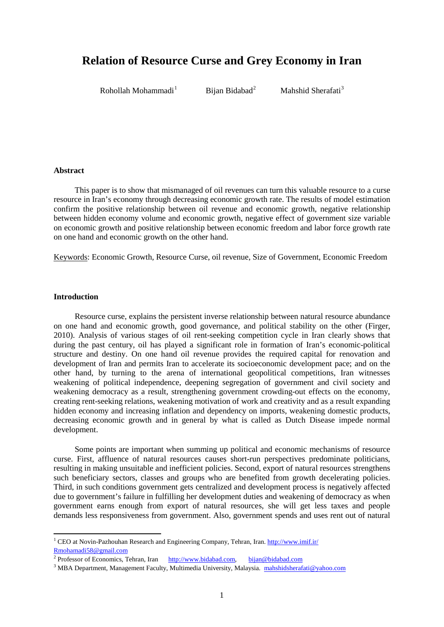# **Relation of Resource Curse and Grey Economy in Iran**

Rohollah Mohammadi<sup>1</sup>

Bijan Bidabad<sup>2</sup>

Mahshid Sherafati<sup>3</sup>

# **Abstract**

This paper is to show that mismanaged of oil revenues can turn this valuable resource to a curse resource in Iran's economy through decreasing economic growth rate. The results of model estimation confirm the positive relationship between oil revenue and economic growth, negative relationship between hidden economy volume and economic growth, negative effect of government size variable on economic growth and positive relationship between economic freedom and labor force growth rate on one hand and economic growth on the other hand.

Keywords: Economic Growth, Resource Curse, oil revenue, Size of Government, Economic Freedom

# **Introduction**

1

Resource curse, explains the persistent inverse relationship between natural resource abundance on one hand and economic growth, good governance, and political stability on the other (Firger, 2010). Analysis of various stages of oil rent-seeking competition cycle in Iran clearly shows that during the past century, oil has played a significant role in formation of Iran's economic-political structure and destiny. On one hand oil revenue provides the required capital for renovation and development of Iran and permits Iran to accelerate its socioeconomic development pace; and on the other hand, by turning to the arena of international geopolitical competitions, Iran witnesses weakening of political independence, deepening segregation of government and civil society and weakening democracy as a result, strengthening government crowding-out effects on the economy, creating rent-seeking relations, weakening motivation of work and creativity and as a result expanding hidden economy and increasing inflation and dependency on imports, weakening domestic products, decreasing economic growth and in general by what is called as Dutch Disease impede normal development.

Some points are important when summing up political and economic mechanisms of resource curse. First, affluence of natural resources causes short-run perspectives predominate politicians, resulting in making unsuitable and inefficient policies. Second, export of natural resources strengthens such beneficiary sectors, classes and groups who are benefited from growth decelerating policies. Third, in such conditions government gets centralized and development process is negatively affected due to government's failure in fulfilling her development duties and weakening of democracy as when government earns enough from export of natural resources, she will get less taxes and people demands less responsiveness from government. Also, government spends and uses rent out of natural

<sup>&</sup>lt;sup>1</sup> CEO at Novin-Pazhouhan Research and Engineering Company, Tehran, Iran. http://www.imif.ir/ [Rmohamadi58@gmail.com](mailto:Rmohamadi58@gmail.com)

<sup>&</sup>lt;sup>2</sup> Professor of Economics, Tehran, Iran [http://www.bidabad.com,](http://www.bidabad.com/) [bijan@bidabad.com](mailto:bijan@bidabad.com)

<sup>&</sup>lt;sup>3</sup> MBA Department, Management Faculty, Multimedia University, Malaysia. [mahshidsherafati@yahoo.com](mailto:mahshidsherafati@yahoo.com)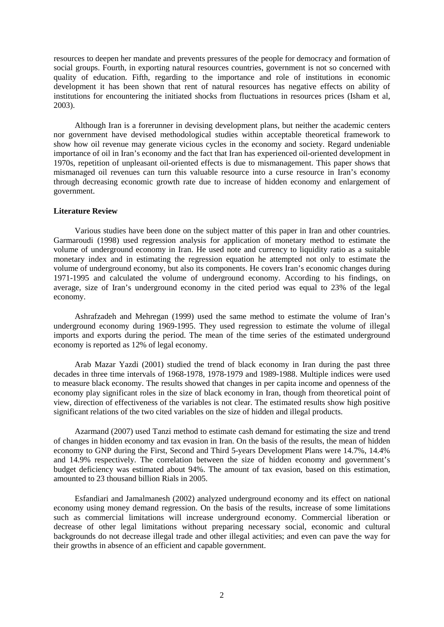resources to deepen her mandate and prevents pressures of the people for democracy and formation of social groups. Fourth, in exporting natural resources countries, government is not so concerned with quality of education. Fifth, regarding to the importance and role of institutions in economic development it has been shown that rent of natural resources has negative effects on ability of institutions for encountering the initiated shocks from fluctuations in resources prices (Isham et al, 2003).

Although Iran is a forerunner in devising development plans, but neither the academic centers nor government have devised methodological studies within acceptable theoretical framework to show how oil revenue may generate vicious cycles in the economy and society. Regard undeniable importance of oil in Iran's economy and the fact that Iran has experienced oil-oriented development in 1970s, repetition of unpleasant oil-oriented effects is due to mismanagement. This paper shows that mismanaged oil revenues can turn this valuable resource into a curse resource in Iran's economy through decreasing economic growth rate due to increase of hidden economy and enlargement of government.

## **Literature Review**

Various studies have been done on the subject matter of this paper in Iran and other countries. Garmaroudi (1998) used regression analysis for application of monetary method to estimate the volume of underground economy in Iran. He used note and currency to liquidity ratio as a suitable monetary index and in estimating the regression equation he attempted not only to estimate the volume of underground economy, but also its components. He covers Iran's economic changes during 1971-1995 and calculated the volume of underground economy. According to his findings, on average, size of Iran's underground economy in the cited period was equal to 23% of the legal economy.

Ashrafzadeh and Mehregan (1999) used the same method to estimate the volume of Iran's underground economy during 1969-1995. They used regression to estimate the volume of illegal imports and exports during the period. The mean of the time series of the estimated underground economy is reported as 12% of legal economy.

Arab Mazar Yazdi (2001) studied the trend of black economy in Iran during the past three decades in three time intervals of 1968-1978, 1978-1979 and 1989-1988. Multiple indices were used to measure black economy. The results showed that changes in per capita income and openness of the economy play significant roles in the size of black economy in Iran, though from theoretical point of view, direction of effectiveness of the variables is not clear. The estimated results show high positive significant relations of the two cited variables on the size of hidden and illegal products.

Azarmand (2007) used Tanzi method to estimate cash demand for estimating the size and trend of changes in hidden economy and tax evasion in Iran. On the basis of the results, the mean of hidden economy to GNP during the First, Second and Third 5-years Development Plans were 14.7%, 14.4% and 14.9% respectively. The correlation between the size of hidden economy and government's budget deficiency was estimated about 94%. The amount of tax evasion, based on this estimation, amounted to 23 thousand billion Rials in 2005.

Esfandiari and Jamalmanesh (2002) analyzed underground economy and its effect on national economy using money demand regression. On the basis of the results, increase of some limitations such as commercial limitations will increase underground economy. Commercial liberation or decrease of other legal limitations without preparing necessary social, economic and cultural backgrounds do not decrease illegal trade and other illegal activities; and even can pave the way for their growths in absence of an efficient and capable government.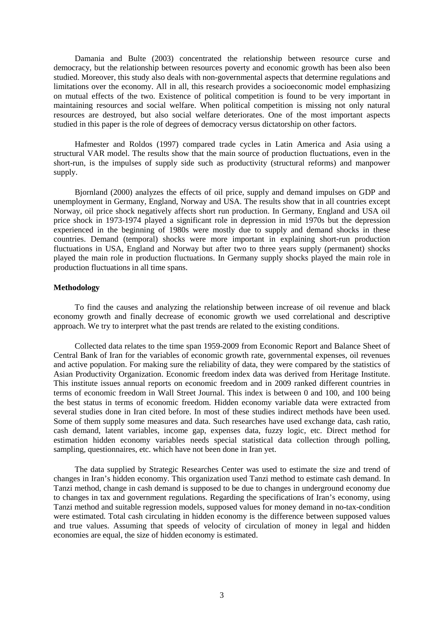Damania and Bulte (2003) concentrated the relationship between resource curse and democracy, but the relationship between resources poverty and economic growth has been also been studied. Moreover, this study also deals with non-governmental aspects that determine regulations and limitations over the economy. All in all, this research provides a socioeconomic model emphasizing on mutual effects of the two. Existence of political competition is found to be very important in maintaining resources and social welfare. When political competition is missing not only natural resources are destroyed, but also social welfare deteriorates. One of the most important aspects studied in this paper is the role of degrees of democracy versus dictatorship on other factors.

Hafmester and Roldos (1997) compared trade cycles in Latin America and Asia using a structural VAR model. The results show that the main source of production fluctuations, even in the short-run, is the impulses of supply side such as productivity (structural reforms) and manpower supply.

Bjornland (2000) analyzes the effects of oil price, supply and demand impulses on GDP and unemployment in Germany, England, Norway and USA. The results show that in all countries except Norway, oil price shock negatively affects short run production. In Germany, England and USA oil price shock in 1973-1974 played a significant role in depression in mid 1970s but the depression experienced in the beginning of 1980s were mostly due to supply and demand shocks in these countries. Demand (temporal) shocks were more important in explaining short-run production fluctuations in USA, England and Norway but after two to three years supply (permanent) shocks played the main role in production fluctuations. In Germany supply shocks played the main role in production fluctuations in all time spans.

## **Methodology**

To find the causes and analyzing the relationship between increase of oil revenue and black economy growth and finally decrease of economic growth we used correlational and descriptive approach. We try to interpret what the past trends are related to the existing conditions.

Collected data relates to the time span 1959-2009 from Economic Report and Balance Sheet of Central Bank of Iran for the variables of economic growth rate, governmental expenses, oil revenues and active population. For making sure the reliability of data, they were compared by the statistics of Asian Productivity Organization. Economic freedom index data was derived from Heritage Institute. This institute issues annual reports on economic freedom and in 2009 ranked different countries in terms of economic freedom in Wall Street Journal. This index is between 0 and 100, and 100 being the best status in terms of economic freedom. Hidden economy variable data were extracted from several studies done in Iran cited before. In most of these studies indirect methods have been used. Some of them supply some measures and data. Such researches have used exchange data, cash ratio, cash demand, latent variables, income gap, expenses data, fuzzy logic, etc. Direct method for estimation hidden economy variables needs special statistical data collection through polling, sampling, questionnaires, etc. which have not been done in Iran yet.

The data supplied by Strategic Researches Center was used to estimate the size and trend of changes in Iran's hidden economy. This organization used Tanzi method to estimate cash demand. In Tanzi method, change in cash demand is supposed to be due to changes in underground economy due to changes in tax and government regulations. Regarding the specifications of Iran's economy, using Tanzi method and suitable regression models, supposed values for money demand in no-tax-condition were estimated. Total cash circulating in hidden economy is the difference between supposed values and true values. Assuming that speeds of velocity of circulation of money in legal and hidden economies are equal, the size of hidden economy is estimated.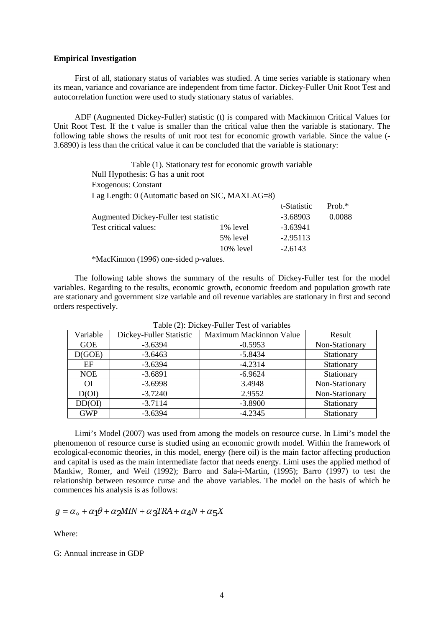## **Empirical Investigation**

First of all, stationary status of variables was studied. A time series variable is stationary when its mean, variance and covariance are independent from time factor. Dickey-Fuller Unit Root Test and autocorrelation function were used to study stationary status of variables.

ADF (Augmented Dickey-Fuller) statistic (t) is compared with Mackinnon Critical Values for Unit Root Test. If the t value is smaller than the critical value then the variable is stationary. The following table shows the results of unit root test for economic growth variable. Since the value (- 3.6890) is less than the critical value it can be concluded that the variable is stationary:

> Table (1). Stationary test for economic growth variable Null Hypothesis: G has a unit root Exogenous: Constant Lag Length: 0 (Automatic based on SIC, MAXLAG=8) t-Statistic Prob.\*

|                                        |              | 1.01       |        |
|----------------------------------------|--------------|------------|--------|
| Augmented Dickey-Fuller test statistic |              | $-3.68903$ | 0.0088 |
| Test critical values:                  | 1% level     | $-3.63941$ |        |
|                                        | 5% level     | $-2.95113$ |        |
|                                        | $10\%$ level | $-2.6143$  |        |
|                                        |              |            |        |

\*MacKinnon (1996) one-sided p-values.

The following table shows the summary of the results of Dickey-Fuller test for the model variables. Regarding to the results, economic growth, economic freedom and population growth rate are stationary and government size variable and oil revenue variables are stationary in first and second orders respectively.

| Variable   | Dickey-Fuller Statistic | Maximum Mackinnon Value | Result         |
|------------|-------------------------|-------------------------|----------------|
| <b>GOE</b> | $-3.6394$               | $-0.5953$               | Non-Stationary |
| D(GOE)     | $-3.6463$               | $-5.8434$               | Stationary     |
| EF         | $-3.6394$               | $-4.2314$               | Stationary     |
| <b>NOE</b> | $-3.6891$               | $-6.9624$               | Stationary     |
| ΟI         | $-3.6998$               | 3.4948                  | Non-Stationary |
| D(OI)      | $-3.7240$               | 2.9552                  | Non-Stationary |
| DD(OI)     | $-3.7114$               | $-3.8900$               | Stationary     |
| <b>GWP</b> | $-3.6394$               | $-4.2345$               | Stationary     |
|            |                         |                         |                |

Table (2): Dickey-Fuller Test of variables

Limi's Model (2007) was used from among the models on resource curse. In Limi's model the phenomenon of resource curse is studied using an economic growth model. Within the framework of ecological-economic theories, in this model, energy (here oil) is the main factor affecting production and capital is used as the main intermediate factor that needs energy. Limi uses the applied method of Mankiw, Romer, and Weil (1992); Barro and Sala-i-Martin, (1995); Barro (1997) to test the relationship between resource curse and the above variables. The model on the basis of which he commences his analysis is as follows:

$$
g = \alpha_{\circ} + \alpha_1 \theta + \alpha_2 M I N + \alpha_3 T R A + \alpha_4 N + \alpha_5 X
$$

Where:

G: Annual increase in GDP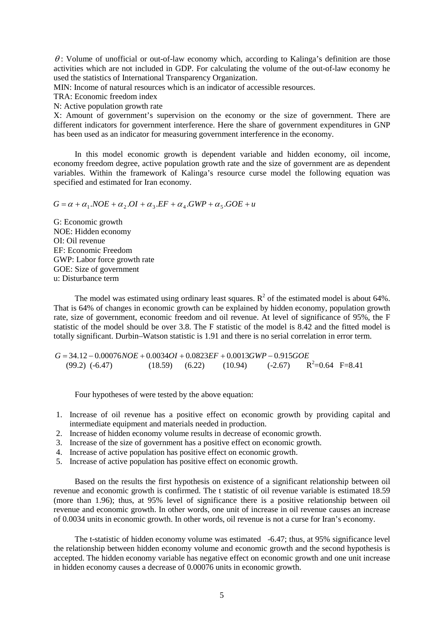$\theta$ : Volume of unofficial or out-of-law economy which, according to Kalinga's definition are those activities which are not included in GDP. For calculating the volume of the out-of-law economy he used the statistics of International Transparency Organization.

MIN: Income of natural resources which is an indicator of accessible resources.

TRA: Economic freedom index

N: Active population growth rate

X: Amount of government's supervision on the economy or the size of government. There are different indicators for government interference. Here the share of government expenditures in GNP has been used as an indicator for measuring government interference in the economy.

In this model economic growth is dependent variable and hidden economy, oil income, economy freedom degree, active population growth rate and the size of government are as dependent variables. Within the framework of Kalinga's resource curse model the following equation was specified and estimated for Iran economy.

 $G = \alpha + \alpha_1 . NOE + \alpha_2 . OI + \alpha_3 . EF + \alpha_4 . GWP + \alpha_5 . GOE + u$ 

G: Economic growth NOE: Hidden economy OI: Oil revenue EF: Economic Freedom GWP: Labor force growth rate GOE: Size of government u: Disturbance term

The model was estimated using ordinary least squares.  $R^2$  of the estimated model is about 64%. That is 64% of changes in economic growth can be explained by hidden economy, population growth rate, size of government, economic freedom and oil revenue. At level of significance of 95%, the F statistic of the model should be over 3.8. The F statistic of the model is 8.42 and the fitted model is totally significant. Durbin–Watson statistic is 1.91 and there is no serial correlation in error term.

 $G = 34.12 - 0.00076NOE + 0.0034OI + 0.0823EF + 0.0013GWP - 0.915GOE$ <br>(99.2) (-6.47) (18.59) (6.22) (10.94) (-2.67) F  $(18.59)$   $(6.22)$   $(10.94)$  $R^2=0.64$  F=8.41

Four hypotheses of were tested by the above equation:

- 1. Increase of oil revenue has a positive effect on economic growth by providing capital and intermediate equipment and materials needed in production.
- 2. Increase of hidden economy volume results in decrease of economic growth.
- 3. Increase of the size of government has a positive effect on economic growth.
- 4. Increase of active population has positive effect on economic growth.
- 5. Increase of active population has positive effect on economic growth.

Based on the results the first hypothesis on existence of a significant relationship between oil revenue and economic growth is confirmed. The t statistic of oil revenue variable is estimated 18.59 (more than 1.96); thus, at 95% level of significance there is a positive relationship between oil revenue and economic growth. In other words, one unit of increase in oil revenue causes an increase of 0.0034 units in economic growth. In other words, oil revenue is not a curse for Iran's economy.

The t-statistic of hidden economy volume was estimated -6.47; thus, at 95% significance level the relationship between hidden economy volume and economic growth and the second hypothesis is accepted. The hidden economy variable has negative effect on economic growth and one unit increase in hidden economy causes a decrease of 0.00076 units in economic growth.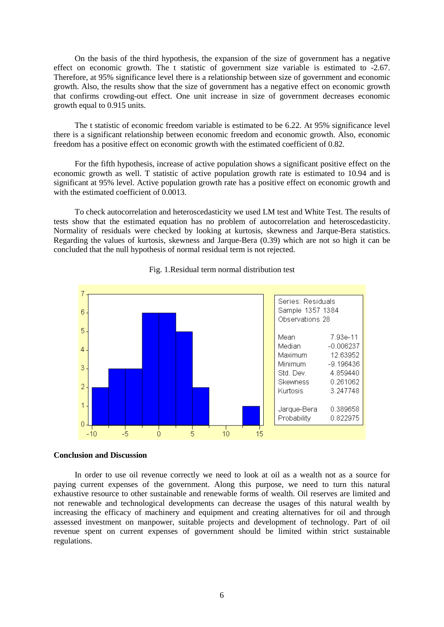On the basis of the third hypothesis, the expansion of the size of government has a negative effect on economic growth. The t statistic of government size variable is estimated to -2.67. Therefore, at 95% significance level there is a relationship between size of government and economic growth. Also, the results show that the size of government has a negative effect on economic growth that confirms crowding-out effect. One unit increase in size of government decreases economic growth equal to 0.915 units.

The t statistic of economic freedom variable is estimated to be 6.22. At 95% significance level there is a significant relationship between economic freedom and economic growth. Also, economic freedom has a positive effect on economic growth with the estimated coefficient of 0.82.

For the fifth hypothesis, increase of active population shows a significant positive effect on the economic growth as well. T statistic of active population growth rate is estimated to 10.94 and is significant at 95% level. Active population growth rate has a positive effect on economic growth and with the estimated coefficient of 0.0013.

To check autocorrelation and heteroscedasticity we used LM test and White Test. The results of tests show that the estimated equation has no problem of autocorrelation and heteroscedasticity. Normality of residuals were checked by looking at kurtosis, skewness and Jarque-Bera statistics. Regarding the values of kurtosis, skewness and Jarque-Bera (0.39) which are not so high it can be concluded that the null hypothesis of normal residual term is not rejected.



Fig. 1.Residual term normal distribution test

#### **Conclusion and Discussion**

In order to use oil revenue correctly we need to look at oil as a wealth not as a source for paying current expenses of the government. Along this purpose, we need to turn this natural exhaustive resource to other sustainable and renewable forms of wealth. Oil reserves are limited and not renewable and technological developments can decrease the usages of this natural wealth by increasing the efficacy of machinery and equipment and creating alternatives for oil and through assessed investment on manpower, suitable projects and development of technology. Part of oil revenue spent on current expenses of government should be limited within strict sustainable regulations.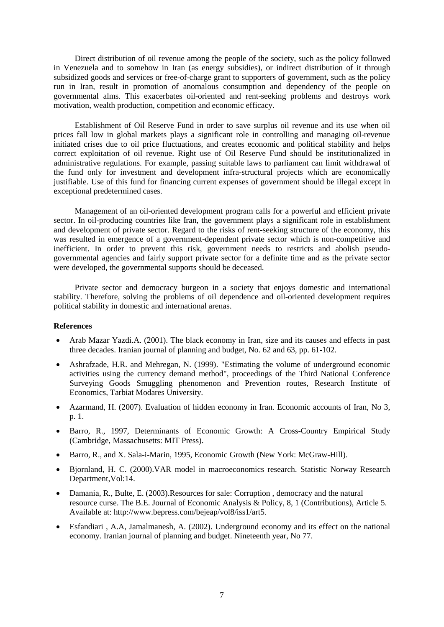Direct distribution of oil revenue among the people of the society, such as the policy followed in Venezuela and to somehow in Iran (as energy subsidies), or indirect distribution of it through subsidized goods and services or free-of-charge grant to supporters of government, such as the policy run in Iran, result in promotion of anomalous consumption and dependency of the people on governmental alms. This exacerbates oil-oriented and rent-seeking problems and destroys work motivation, wealth production, competition and economic efficacy.

Establishment of Oil Reserve Fund in order to save surplus oil revenue and its use when oil prices fall low in global markets plays a significant role in controlling and managing oil-revenue initiated crises due to oil price fluctuations, and creates economic and political stability and helps correct exploitation of oil revenue. Right use of Oil Reserve Fund should be institutionalized in administrative regulations. For example, passing suitable laws to parliament can limit withdrawal of the fund only for investment and development infra-structural projects which are economically justifiable. Use of this fund for financing current expenses of government should be illegal except in exceptional predetermined cases.

Management of an oil-oriented development program calls for a powerful and efficient private sector. In oil-producing countries like Iran, the government plays a significant role in establishment and development of private sector. Regard to the risks of rent-seeking structure of the economy, this was resulted in emergence of a government-dependent private sector which is non-competitive and inefficient. In order to prevent this risk, government needs to restricts and abolish pseudogovernmental agencies and fairly support private sector for a definite time and as the private sector were developed, the governmental supports should be deceased.

Private sector and democracy burgeon in a society that enjoys domestic and international stability. Therefore, solving the problems of oil dependence and oil-oriented development requires political stability in domestic and international arenas.

# **References**

- Arab Mazar Yazdi.A. (2001). The black economy in Iran, size and its causes and effects in past three decades. Iranian journal of planning and budget, No. 62 and 63, pp. 61-102.
- Ashrafzade, H.R. and Mehregan, N. (1999). "Estimating the volume of underground economic activities using the currency demand method", proceedings of the Third National Conference Surveying Goods Smuggling phenomenon and Prevention routes, Research Institute of Economics, Tarbiat Modares University.
- Azarmand, H. (2007). Evaluation of hidden economy in Iran. Economic accounts of Iran, No 3, p. 1.
- Barro, R., 1997, Determinants of Economic Growth: A Cross-Country Empirical Study (Cambridge, Massachusetts: MIT Press).
- Barro, R., and X. Sala-i-Marin, 1995, Economic Growth (New York: McGraw-Hill).
- Bjornland, H. C. (2000).VAR model in macroeconomics research. Statistic Norway Research Department,Vol:14.
- Damania, R., Bulte, E. (2003). Resources for sale: Corruption, democracy and the natural resource curse. The B.E. Journal of Economic Analysis & Policy, 8, 1 (Contributions), Article 5. Available at: http://www.bepress.com/bejeap/vol8/iss1/art5.
- Esfandiari, A.A, Jamalmanesh, A. (2002). Underground economy and its effect on the national economy. Iranian journal of planning and budget. Nineteenth year, No 77.